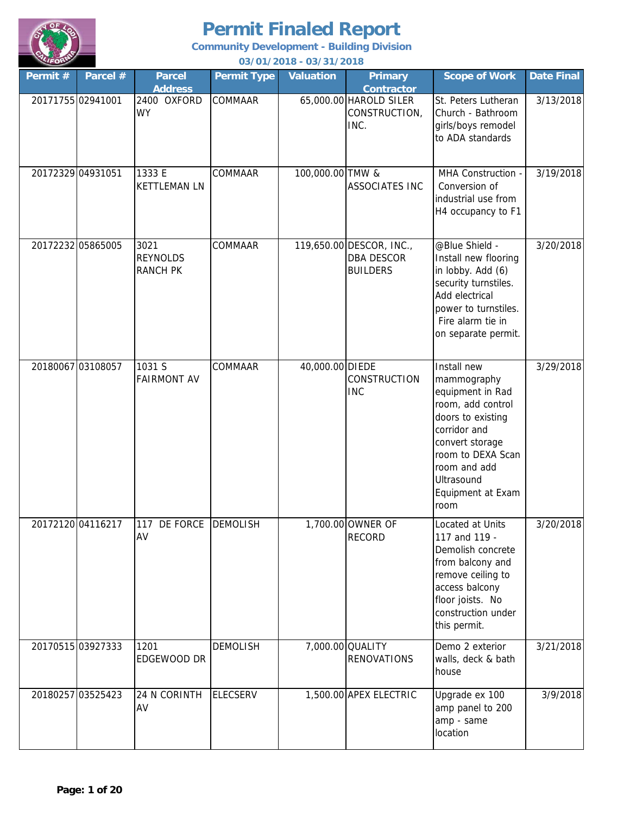

**Community Development - Building Division**

| Permit # | Parcel #          | <b>Parcel</b><br><b>Address</b>            | <b>Permit Type</b> | <b>Valuation</b> | <b>Primary</b><br><b>Contractor</b>                              | <b>Scope of Work</b>                                                                                                                                                                                        | <b>Date Final</b> |
|----------|-------------------|--------------------------------------------|--------------------|------------------|------------------------------------------------------------------|-------------------------------------------------------------------------------------------------------------------------------------------------------------------------------------------------------------|-------------------|
|          | 20171755 02941001 | 2400 OXFORD<br><b>WY</b>                   | COMMAAR            |                  | 65,000.00 HAROLD SILER<br>CONSTRUCTION,<br>INC.                  | St. Peters Lutheran<br>Church - Bathroom<br>girls/boys remodel<br>to ADA standards                                                                                                                          | 3/13/2018         |
|          | 20172329 04931051 | 1333 E<br><b>KETTLEMAN LN</b>              | COMMAAR            | 100,000.00 TMW & | <b>ASSOCIATES INC</b>                                            | MHA Construction -<br>Conversion of<br>industrial use from<br>H4 occupancy to F1                                                                                                                            | 3/19/2018         |
|          | 20172232 05865005 | 3021<br><b>REYNOLDS</b><br><b>RANCH PK</b> | COMMAAR            |                  | 119,650.00 DESCOR, INC.,<br><b>DBA DESCOR</b><br><b>BUILDERS</b> | @Blue Shield -<br>Install new flooring<br>in lobby. Add (6)<br>security turnstiles.<br>Add electrical<br>power to turnstiles.<br>Fire alarm tie in<br>on separate permit.                                   | 3/20/2018         |
|          | 20180067 03108057 | 1031 S<br><b>FAIRMONT AV</b>               | COMMAAR            | 40,000.00 DIEDE  | CONSTRUCTION<br><b>INC</b>                                       | Install new<br>mammography<br>equipment in Rad<br>room, add control<br>doors to existing<br>corridor and<br>convert storage<br>room to DEXA Scan<br>room and add<br>Ultrasound<br>Equipment at Exam<br>room | 3/29/2018         |
|          | 20172120 04116217 | 117 DE FORCE DEMOLISH<br>AV                |                    |                  | 1,700.00 OWNER OF<br><b>RECORD</b>                               | Located at Units<br>117 and 119 -<br>Demolish concrete<br>from balcony and<br>remove ceiling to<br>access balcony<br>floor joists. No<br>construction under<br>this permit.                                 | 3/20/2018         |
|          | 20170515 03927333 | 1201<br>EDGEWOOD DR                        | <b>DEMOLISH</b>    |                  | 7,000.00 QUALITY<br><b>RENOVATIONS</b>                           | Demo 2 exterior<br>walls, deck & bath<br>house                                                                                                                                                              | 3/21/2018         |
|          | 20180257 03525423 | 24 N CORINTH<br>AV                         | <b>ELECSERV</b>    |                  | 1,500.00 APEX ELECTRIC                                           | Upgrade ex 100<br>amp panel to 200<br>amp - same<br>location                                                                                                                                                | 3/9/2018          |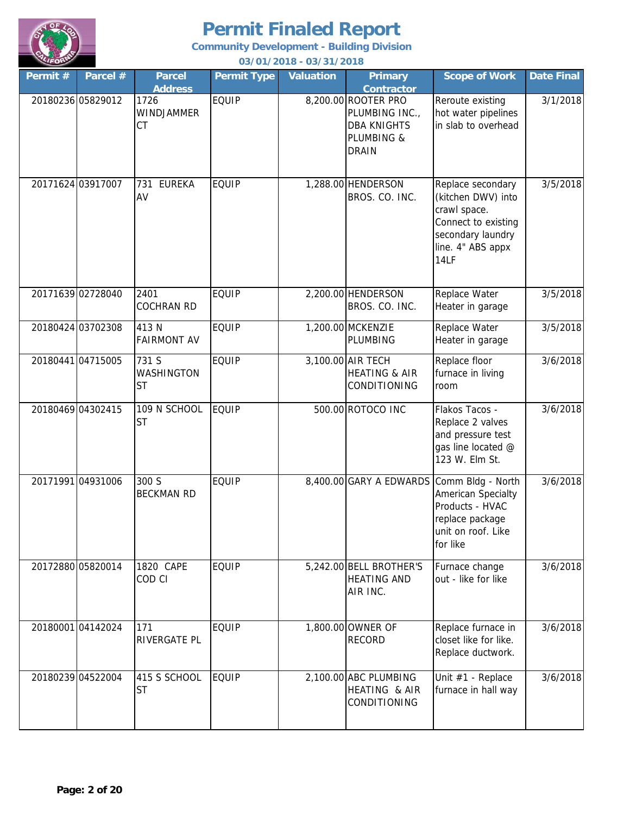

**Community Development - Building Division**

| VLIFORN<br>03/01/2018 - 03/31/2018 |                   |                                  |                    |                  |                                                                                           |                                                                                                                                  |                   |
|------------------------------------|-------------------|----------------------------------|--------------------|------------------|-------------------------------------------------------------------------------------------|----------------------------------------------------------------------------------------------------------------------------------|-------------------|
| Permit #                           | Parcel #          | <b>Parcel</b><br><b>Address</b>  | <b>Permit Type</b> | <b>Valuation</b> | <b>Primary</b><br><b>Contractor</b>                                                       | <b>Scope of Work</b>                                                                                                             | <b>Date Final</b> |
|                                    | 20180236 05829012 | 1726<br>WINDJAMMER<br>CT         | <b>EQUIP</b>       |                  | 8,200.00 ROOTER PRO<br>PLUMBING INC.,<br><b>DBA KNIGHTS</b><br>PLUMBING &<br><b>DRAIN</b> | Reroute existing<br>hot water pipelines<br>in slab to overhead                                                                   | 3/1/2018          |
| 20171624 03917007                  |                   | <b>EUREKA</b><br>731<br>AV       | <b>EQUIP</b>       |                  | 1,288.00 HENDERSON<br>BROS. CO. INC.                                                      | Replace secondary<br>(kitchen DWV) into<br>crawl space.<br>Connect to existing<br>secondary laundry<br>line. 4" ABS appx<br>14LF | 3/5/2018          |
|                                    | 20171639 02728040 | 2401<br><b>COCHRAN RD</b>        | <b>EQUIP</b>       |                  | 2,200.00 HENDERSON<br>BROS. CO. INC.                                                      | Replace Water<br>Heater in garage                                                                                                | 3/5/2018          |
|                                    | 20180424 03702308 | 413 N<br><b>FAIRMONT AV</b>      | <b>EQUIP</b>       |                  | 1,200.00 MCKENZIE<br>PLUMBING                                                             | Replace Water<br>Heater in garage                                                                                                | 3/5/2018          |
| 20180441 04715005                  |                   | 731 S<br>WASHINGTON<br><b>ST</b> | <b>EQUIP</b>       |                  | 3,100.00 AIR TECH<br><b>HEATING &amp; AIR</b><br>CONDITIONING                             | Replace floor<br>furnace in living<br>room                                                                                       | 3/6/2018          |
|                                    | 20180469 04302415 | 109 N SCHOOL<br><b>ST</b>        | <b>EQUIP</b>       |                  | 500.00 ROTOCO INC                                                                         | Flakos Tacos -<br>Replace 2 valves<br>and pressure test<br>gas line located @<br>123 W. Elm St.                                  | 3/6/2018          |
|                                    | 2017199104931006  | 300 S<br><b>BECKMAN RD</b>       | <b>EQUIP</b>       |                  | 8,400.00 GARY A EDWARDS                                                                   | Comm Bldg - North<br>American Specialty<br>Products - HVAC<br>replace package<br>unit on roof. Like<br>for like                  | 3/6/2018          |
|                                    | 20172880 05820014 | 1820 CAPE<br>COD CI              | <b>EQUIP</b>       |                  | 5,242.00 BELL BROTHER'S<br><b>HEATING AND</b><br>AIR INC.                                 | Furnace change<br>out - like for like                                                                                            | 3/6/2018          |
|                                    | 2018000104142024  | 171<br>RIVERGATE PL              | <b>EQUIP</b>       |                  | 1,800.00 OWNER OF<br><b>RECORD</b>                                                        | Replace furnace in<br>closet like for like.<br>Replace ductwork.                                                                 | 3/6/2018          |
|                                    | 20180239 04522004 | 415 S SCHOOL<br><b>ST</b>        | <b>EQUIP</b>       |                  | 2,100.00 ABC PLUMBING<br>HEATING & AIR<br>CONDITIONING                                    | Unit #1 - Replace<br>furnace in hall way                                                                                         | 3/6/2018          |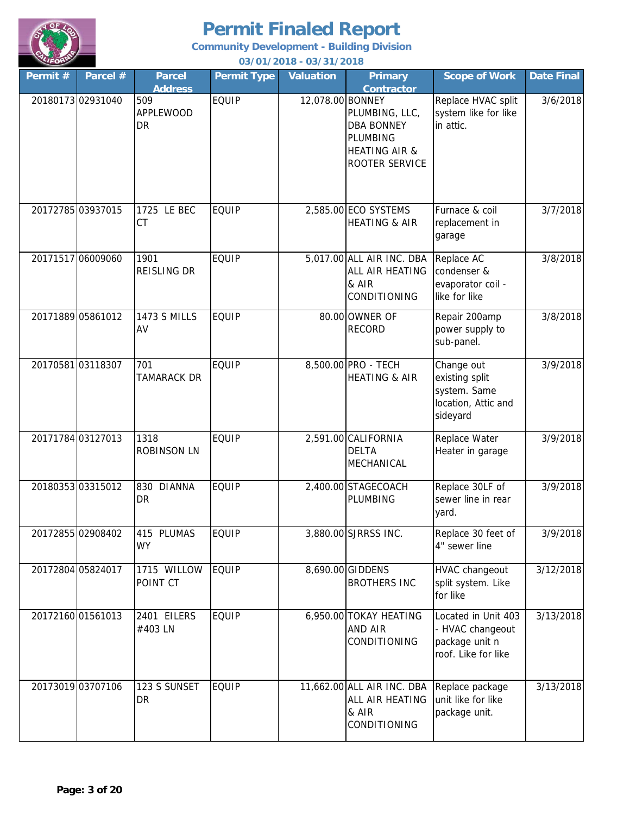

**Community Development - Building Division**

| Permit # | Parcel #          | <b>Parcel</b><br><b>Address</b> | <b>Permit Type</b> | <b>Valuation</b> | <b>Primary</b><br>Contractor                                                                         | <b>Scope of Work</b>                                                             | <b>Date Final</b> |
|----------|-------------------|---------------------------------|--------------------|------------------|------------------------------------------------------------------------------------------------------|----------------------------------------------------------------------------------|-------------------|
|          | 2018017302931040  | 509<br><b>APPLEWOOD</b><br>DR   | <b>EQUIP</b>       | 12,078.00 BONNEY | PLUMBING, LLC,<br><b>DBA BONNEY</b><br><b>PLUMBING</b><br><b>HEATING AIR &amp;</b><br>ROOTER SERVICE | Replace HVAC split<br>system like for like<br>in attic.                          | 3/6/2018          |
|          | 20172785 03937015 | 1725 LE BEC<br><b>CT</b>        | <b>EQUIP</b>       |                  | 2,585.00 ECO SYSTEMS<br><b>HEATING &amp; AIR</b>                                                     | Furnace & coil<br>replacement in<br>garage                                       | 3/7/2018          |
|          | 20171517 06009060 | 1901<br>REISLING DR             | <b>EQUIP</b>       |                  | 5,017.00 ALL AIR INC. DBA<br>ALL AIR HEATING<br>& AIR<br>CONDITIONING                                | Replace AC<br>condenser &<br>evaporator coil -<br>like for like                  | 3/8/2018          |
|          | 20171889 05861012 | <b>1473 S MILLS</b><br>AV       | <b>EQUIP</b>       |                  | 80.00 OWNER OF<br><b>RECORD</b>                                                                      | Repair 200amp<br>power supply to<br>sub-panel.                                   | 3/8/2018          |
|          | 2017058103118307  | 701<br>TAMARACK DR              | <b>EQUIP</b>       |                  | 8,500.00 PRO - TECH<br><b>HEATING &amp; AIR</b>                                                      | Change out<br>existing split<br>system. Same<br>location, Attic and<br>sideyard  | 3/9/2018          |
|          | 20171784 03127013 | 1318<br><b>ROBINSON LN</b>      | <b>EQUIP</b>       |                  | 2,591.00 CALIFORNIA<br><b>DELTA</b><br>MECHANICAL                                                    | Replace Water<br>Heater in garage                                                | 3/9/2018          |
|          | 20180353 03315012 | 830 DIANNA<br><b>DR</b>         | <b>EQUIP</b>       |                  | 2,400.00 STAGECOACH<br>PLUMBING                                                                      | Replace 30LF of<br>sewer line in rear<br>yard.                                   | 3/9/2018          |
|          | 20172855 02908402 | 415 PLUMAS<br><b>WY</b>         | <b>EQUIP</b>       |                  | 3,880.00 SJRRSS INC.                                                                                 | Replace 30 feet of<br>4" sewer line                                              | 3/9/2018          |
|          | 20172804 05824017 | 1715 WILLOW<br>POINT CT         | <b>EQUIP</b>       |                  | 8,690.00 GIDDENS<br><b>BROTHERS INC</b>                                                              | <b>HVAC changeout</b><br>split system. Like<br>for like                          | 3/12/2018         |
|          | 20172160 01561013 | 2401 EILERS<br>#403 LN          | <b>EQUIP</b>       |                  | 6,950.00 TOKAY HEATING<br>AND AIR<br>CONDITIONING                                                    | Located in Unit 403<br>- HVAC changeout<br>package unit n<br>roof. Like for like | 3/13/2018         |
|          | 20173019 03707106 | 123 S SUNSET<br>DR              | <b>EQUIP</b>       |                  | 11,662.00 ALL AIR INC. DBA<br>ALL AIR HEATING<br>& AIR<br>CONDITIONING                               | Replace package<br>unit like for like<br>package unit.                           | 3/13/2018         |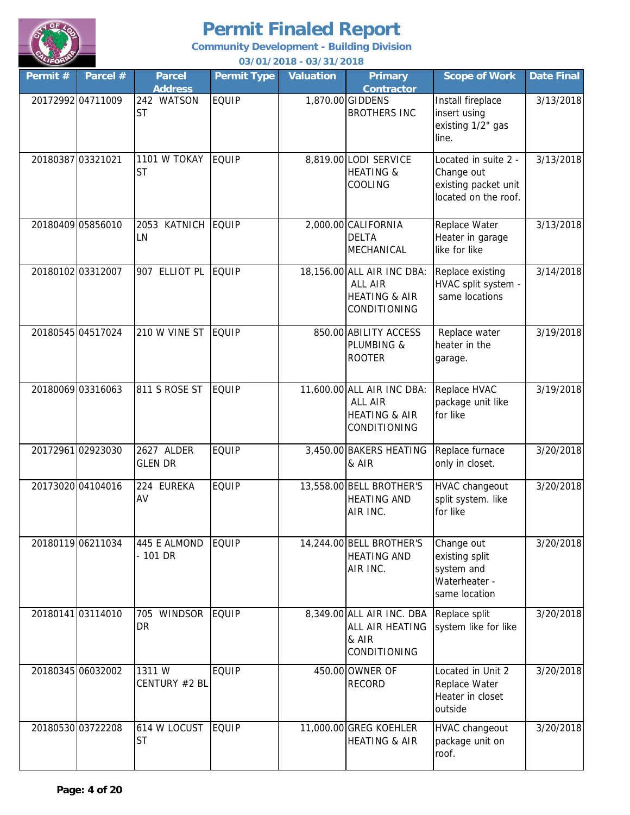

| Permit # | Parcel #          | <b>Parcel</b><br><b>Address</b> | <b>Permit Type</b> | <b>Valuation</b> | <b>Primary</b><br><b>Contractor</b>                                                      | <b>Scope of Work</b>                                                               | <b>Date Final</b> |
|----------|-------------------|---------------------------------|--------------------|------------------|------------------------------------------------------------------------------------------|------------------------------------------------------------------------------------|-------------------|
|          | 20172992 04711009 | 242 WATSON<br><b>ST</b>         | <b>EQUIP</b>       |                  | 1,870.00 GIDDENS<br><b>BROTHERS INC</b>                                                  | Install fireplace<br>insert using<br>existing 1/2" gas<br>line.                    | 3/13/2018         |
|          | 20180387 03321021 | 1101 W TOKAY<br><b>ST</b>       | <b>EQUIP</b>       |                  | 8,819.00 LODI SERVICE<br><b>HEATING &amp;</b><br>COOLING                                 | Located in suite 2 -<br>Change out<br>existing packet unit<br>located on the roof. | 3/13/2018         |
|          | 20180409 05856010 | 2053 KATNICH<br>LN              | <b>EQUIP</b>       |                  | 2,000.00 CALIFORNIA<br><b>DELTA</b><br>MECHANICAL                                        | Replace Water<br>Heater in garage<br>like for like                                 | 3/13/2018         |
|          | 20180102 03312007 | 907 ELLIOT PL                   | <b>EQUIP</b>       |                  | 18,156.00 ALL AIR INC DBA:<br><b>ALL AIR</b><br><b>HEATING &amp; AIR</b><br>CONDITIONING | Replace existing<br>HVAC split system -<br>same locations                          | 3/14/2018         |
|          | 20180545 04517024 | 210 W VINE ST                   | <b>EQUIP</b>       |                  | 850.00 ABILITY ACCESS<br>PLUMBING &<br><b>ROOTER</b>                                     | Replace water<br>heater in the<br>garage.                                          | 3/19/2018         |
|          | 20180069 03316063 | 811 S ROSE ST                   | <b>EQUIP</b>       |                  | 11,600.00 ALL AIR INC DBA:<br><b>ALL AIR</b><br><b>HEATING &amp; AIR</b><br>CONDITIONING | Replace HVAC<br>package unit like<br>for like                                      | 3/19/2018         |
|          | 20172961 02923030 | 2627 ALDER<br><b>GLEN DR</b>    | <b>EQUIP</b>       |                  | 3,450.00 BAKERS HEATING<br>& AIR                                                         | Replace furnace<br>only in closet.                                                 | 3/20/2018         |
|          | 20173020 04104016 | 224 EUREKA<br>AV                | EQUIP              |                  | 13,558.00 BELL BROTHER'S<br><b>HEATING AND</b><br>AIR INC.                               | <b>HVAC</b> changeout<br>split system. like<br>for like                            | 3/20/2018         |
|          | 20180119 06211034 | 445 E ALMOND<br>$-101$ DR       | <b>EQUIP</b>       |                  | 14,244.00 BELL BROTHER'S<br><b>HEATING AND</b><br>AIR INC.                               | Change out<br>existing split<br>system and<br>Waterheater -<br>same location       | 3/20/2018         |
|          | 20180141 03114010 | 705 WINDSOR<br><b>DR</b>        | <b>EQUIP</b>       |                  | 8,349.00 ALL AIR INC. DBA<br>ALL AIR HEATING<br>& AIR<br>CONDITIONING                    | Replace split<br>system like for like                                              | 3/20/2018         |
|          | 20180345 06032002 | 1311W<br>CENTURY #2 BL          | <b>EQUIP</b>       |                  | 450.00 OWNER OF<br><b>RECORD</b>                                                         | Located in Unit 2<br>Replace Water<br>Heater in closet<br>outside                  | 3/20/2018         |
|          | 20180530 03722208 | 614 W LOCUST<br><b>ST</b>       | <b>EQUIP</b>       |                  | 11,000.00 GREG KOEHLER<br><b>HEATING &amp; AIR</b>                                       | <b>HVAC changeout</b><br>package unit on<br>roof.                                  | 3/20/2018         |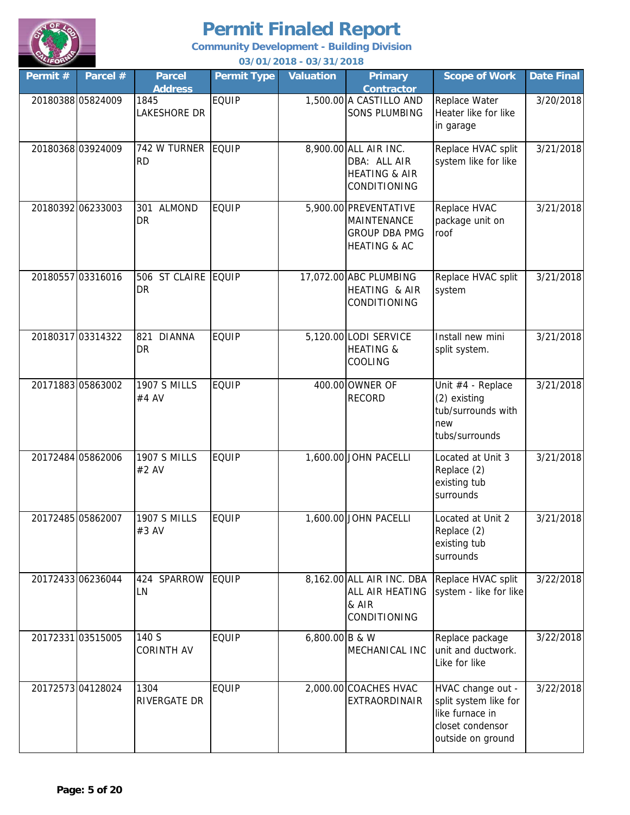

| $\sim$<br>Permit # | Parcel #          | <b>Parcel</b>                          | <b>Permit Type</b> | 03/01/2010 - 03/31/2010<br><b>Valuation</b> | <b>Primary</b><br><b>Contractor</b>                                                            | <b>Scope of Work</b>                                                                                   | <b>Date Final</b> |
|--------------------|-------------------|----------------------------------------|--------------------|---------------------------------------------|------------------------------------------------------------------------------------------------|--------------------------------------------------------------------------------------------------------|-------------------|
|                    | 20180388 05824009 | <b>Address</b><br>1845<br>LAKESHORE DR | <b>EQUIP</b>       |                                             | 1,500.00 A CASTILLO AND<br><b>SONS PLUMBING</b>                                                | Replace Water<br>Heater like for like<br>in garage                                                     | 3/20/2018         |
|                    | 20180368 03924009 | 742 W TURNER EQUIP<br><b>RD</b>        |                    |                                             | 8,900.00 ALL AIR INC.<br>DBA: ALL AIR<br><b>HEATING &amp; AIR</b><br>CONDITIONING              | Replace HVAC split<br>system like for like                                                             | 3/21/2018         |
|                    | 20180392 06233003 | 301 ALMOND<br><b>DR</b>                | <b>EQUIP</b>       |                                             | 5,900.00 PREVENTATIVE<br><b>MAINTENANCE</b><br><b>GROUP DBA PMG</b><br><b>HEATING &amp; AC</b> | Replace HVAC<br>package unit on<br>roof                                                                | 3/21/2018         |
|                    | 20180557 03316016 | 506 ST CLAIRE EQUIP<br><b>DR</b>       |                    |                                             | 17,072.00 ABC PLUMBING<br>HEATING & AIR<br>CONDITIONING                                        | Replace HVAC split<br>system                                                                           | 3/21/2018         |
|                    | 20180317 03314322 | 821<br><b>DIANNA</b><br>DR             | <b>EQUIP</b>       |                                             | 5,120.00 LODI SERVICE<br><b>HEATING &amp;</b><br>COOLING                                       | Install new mini<br>split system.                                                                      | 3/21/2018         |
|                    | 20171883 05863002 | <b>1907 S MILLS</b><br>#4 AV           | <b>EQUIP</b>       |                                             | 400.00 OWNER OF<br><b>RECORD</b>                                                               | Unit #4 - Replace<br>(2) existing<br>tub/surrounds with<br>new<br>tubs/surrounds                       | 3/21/2018         |
|                    | 20172484 05862006 | <b>1907 S MILLS</b><br>#2 AV           | <b>EQUIP</b>       |                                             | 1,600.00 JOHN PACELLI                                                                          | Located at Unit 3<br>Replace (2)<br>existing tub<br>surrounds                                          | 3/21/2018         |
| 20172485 05862007  |                   | <b>1907 S MILLS</b><br>#3 AV           | <b>EQUIP</b>       |                                             | 1,600.00 JOHN PACELLI                                                                          | Located at Unit 2<br>Replace (2)<br>existing tub<br>surrounds                                          | 3/21/2018         |
|                    | 20172433 06236044 | 424<br>SPARROW<br>LN                   | <b>EQUIP</b>       |                                             | 8,162.00 ALL AIR INC. DBA<br>ALL AIR HEATING<br>& AIR<br><b>CONDITIONING</b>                   | Replace HVAC split<br>system - like for like                                                           | 3/22/2018         |
|                    | 20172331 03515005 | 140 S<br><b>CORINTH AV</b>             | <b>EQUIP</b>       | 6,800.00 B & W                              | MECHANICAL INC                                                                                 | Replace package<br>unit and ductwork.<br>Like for like                                                 | 3/22/2018         |
|                    | 20172573 04128024 | 1304<br>RIVERGATE DR                   | <b>EQUIP</b>       |                                             | 2,000.00 COACHES HVAC<br><b>EXTRAORDINAIR</b>                                                  | HVAC change out -<br>split system like for<br>like furnace in<br>closet condensor<br>outside on ground | 3/22/2018         |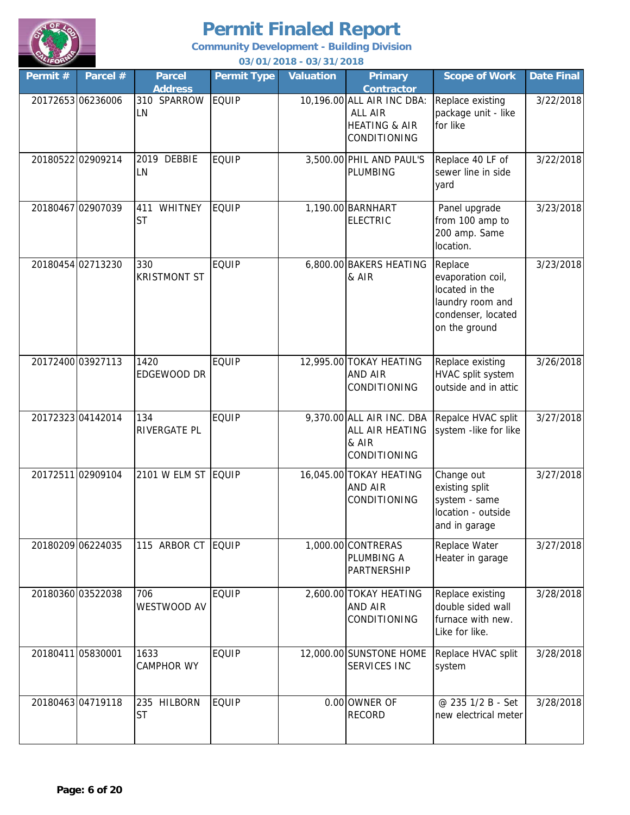

**Community Development - Building Division**

| Permit #          | Parcel #          | <b>Parcel</b><br><b>Address</b>    | <b>Permit Type</b> | <b>Valuation</b> | <b>Primary</b><br><b>Contractor</b>                                               | <b>Scope of Work</b>                                                                                      | Date Final |
|-------------------|-------------------|------------------------------------|--------------------|------------------|-----------------------------------------------------------------------------------|-----------------------------------------------------------------------------------------------------------|------------|
|                   | 20172653 06236006 | 310 SPARROW<br>LN                  | <b>EQUIP</b>       |                  | 10,196.00 ALL AIR INC DBA:<br>ALL AIR<br><b>HEATING &amp; AIR</b><br>CONDITIONING | Replace existing<br>package unit - like<br>for like                                                       | 3/22/2018  |
|                   | 20180522 02909214 | 2019 DEBBIE<br>LN                  | <b>EQUIP</b>       |                  | 3,500.00 PHIL AND PAUL'S<br>PLUMBING                                              | Replace 40 LF of<br>sewer line in side<br>yard                                                            | 3/22/2018  |
|                   | 20180467 02907039 | <b>WHITNEY</b><br>411<br><b>ST</b> | <b>EQUIP</b>       |                  | 1,190.00 BARNHART<br><b>ELECTRIC</b>                                              | Panel upgrade<br>from 100 amp to<br>200 amp. Same<br>location.                                            | 3/23/2018  |
|                   | 20180454 02713230 | 330<br><b>KRISTMONT ST</b>         | <b>EQUIP</b>       |                  | 6,800.00 BAKERS HEATING<br>& AIR                                                  | Replace<br>evaporation coil,<br>located in the<br>laundry room and<br>condenser, located<br>on the ground | 3/23/2018  |
|                   | 20172400 03927113 | 1420<br>EDGEWOOD DR                | <b>EQUIP</b>       |                  | 12,995.00 TOKAY HEATING<br>AND AIR<br>CONDITIONING                                | Replace existing<br>HVAC split system<br>outside and in attic                                             | 3/26/2018  |
|                   | 20172323 04142014 | 134<br>RIVERGATE PL                | EQUIP              |                  | 9,370.00 ALL AIR INC. DBA<br>ALL AIR HEATING<br>& AIR<br>CONDITIONING             | Repalce HVAC split<br>system -like for like                                                               | 3/27/2018  |
|                   | 20172511 02909104 | 2101 W ELM ST EQUIP                |                    |                  | 16,045.00 TOKAY HEATING<br>AND AIR<br><b>CONDITIONING</b>                         | Change out<br>existing split<br>system - same<br>location - outside<br>and in garage                      | 3/27/2018  |
|                   | 20180209 06224035 | 115 ARBOR CT                       | EQUIP              |                  | 1,000.00 CONTRERAS<br>PLUMBING A<br>PARTNERSHIP                                   | Replace Water<br>Heater in garage                                                                         | 3/27/2018  |
|                   | 20180360 03522038 | 706<br>WESTWOOD AV                 | <b>EQUIP</b>       |                  | 2,600.00 TOKAY HEATING<br><b>AND AIR</b><br>CONDITIONING                          | Replace existing<br>double sided wall<br>furnace with new.<br>Like for like.                              | 3/28/2018  |
| 20180411 05830001 |                   | 1633<br><b>CAMPHOR WY</b>          | <b>EQUIP</b>       |                  | 12,000.00 SUNSTONE HOME<br>SERVICES INC                                           | Replace HVAC split<br>system                                                                              | 3/28/2018  |
|                   | 2018046304719118  | 235 HILBORN<br><b>ST</b>           | <b>EQUIP</b>       |                  | 0.00 OWNER OF<br><b>RECORD</b>                                                    | @ 235 1/2 B - Set<br>new electrical meter                                                                 | 3/28/2018  |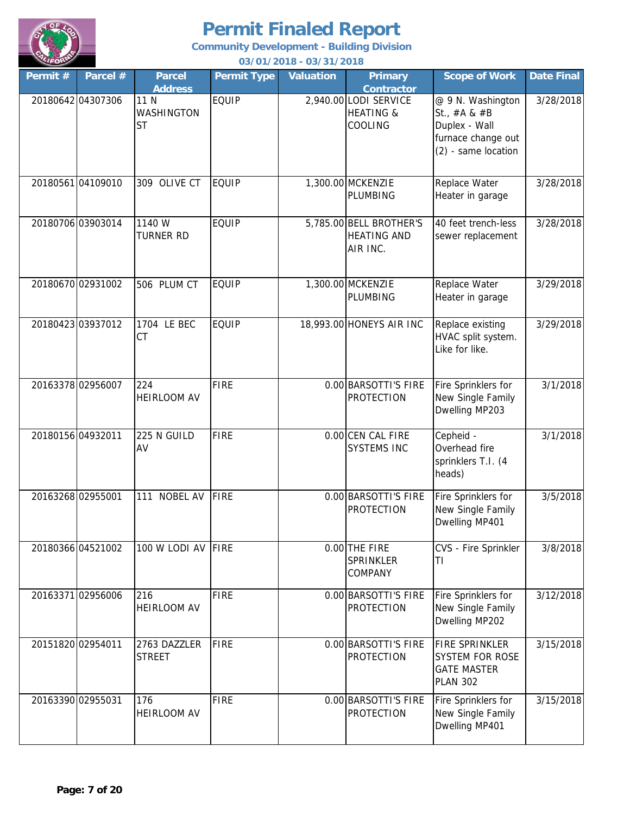

| Permit # | Parcel #          | <b>Parcel</b>                                     | <b>Permit Type</b> | 037 0 17 20 10 - 037 3 17 20 10<br><b>Valuation</b> | <b>Primary</b>                                                                | <b>Scope of Work</b>                                                                                                                                                                                                                                                                                                                                                                                                                                                                                                                                                                                                                                                                                                                                                                                                                                                                                                                                                                                                                                                                                                                                                                                                                                                                                                                                                                                                                                                                                                                                                                                                                                                                                                                                                                                                                                                                                                                                                                                                                                                                                                                                                                                                                                                                                                                                                                                                                                                                                                                                                                                                                                                                                                                                                | <b>Date Final</b> |
|----------|-------------------|---------------------------------------------------|--------------------|-----------------------------------------------------|-------------------------------------------------------------------------------|---------------------------------------------------------------------------------------------------------------------------------------------------------------------------------------------------------------------------------------------------------------------------------------------------------------------------------------------------------------------------------------------------------------------------------------------------------------------------------------------------------------------------------------------------------------------------------------------------------------------------------------------------------------------------------------------------------------------------------------------------------------------------------------------------------------------------------------------------------------------------------------------------------------------------------------------------------------------------------------------------------------------------------------------------------------------------------------------------------------------------------------------------------------------------------------------------------------------------------------------------------------------------------------------------------------------------------------------------------------------------------------------------------------------------------------------------------------------------------------------------------------------------------------------------------------------------------------------------------------------------------------------------------------------------------------------------------------------------------------------------------------------------------------------------------------------------------------------------------------------------------------------------------------------------------------------------------------------------------------------------------------------------------------------------------------------------------------------------------------------------------------------------------------------------------------------------------------------------------------------------------------------------------------------------------------------------------------------------------------------------------------------------------------------------------------------------------------------------------------------------------------------------------------------------------------------------------------------------------------------------------------------------------------------------------------------------------------------------------------------------------------------|-------------------|
|          | 20180642 04307306 | <b>Address</b><br>11 N<br>WASHINGTON<br><b>ST</b> | EQUIP              |                                                     | <b>Contractor</b><br>2,940.00 LODI SERVICE<br><b>HEATING &amp;</b><br>COOLING | @ 9 N. Washington<br>St., $#A &#B</math><br>Duplex - Wall<br>furnace change out<br>(2) - same location</td><td>3/28/2018</td></tr><tr><td></td><td>20180561 04109010</td><td>309 OLIVE CT</td><td><b>EQUIP</b></td><td></td><td>1,300.00 MCKENZIE<br>PLUMBING</td><td>Replace Water<br>Heater in garage</td><td>3/28/2018</td></tr><tr><td></td><td>20180706 03903014</td><td>1140 W<br><b>TURNER RD</b></td><td><b>EQUIP</b></td><td></td><td>5,785.00 BELL BROTHER'S<br><b>HEATING AND</b><br>AIR INC.</td><td>40 feet trench-less<br>sewer replacement</td><td>3/28/2018</td></tr><tr><td></td><td>20180670 02931002</td><td>506 PLUM CT</td><td><b>EQUIP</b></td><td></td><td>1,300.00 MCKENZIE<br>PLUMBING</td><td>Replace Water<br>Heater in garage</td><td>3/29/2018</td></tr><tr><td></td><td>20180423 03937012</td><td>1704 LE BEC<br><b>CT</b></td><td><b>EQUIP</b></td><td></td><td>18,993.00 HONEYS AIR INC</td><td>Replace existing<br>HVAC split system.<br>Like for like.</td><td>3/29/2018</td></tr><tr><td></td><td>20163378 02956007</td><td>224<br><b>HEIRLOOM AV</b></td><td><b>FIRE</b></td><td></td><td>0.00 BARSOTTI'S FIRE<br><b>PROTECTION</b></td><td>Fire Sprinklers for<br>New Single Family<br>Dwelling MP203</td><td>3/1/2018</td></tr><tr><td>20180156 04932011</td><td></td><td>225 N GUILD<br>AV</td><td><b>FIRE</b></td><td></td><td>0.00 CEN CAL FIRE<br><b>SYSTEMS INC</b></td><td>Cepheid -<br>Overhead fire<br>sprinklers T.I. (4<br>heads)</td><td>3/1/2018</td></tr><tr><td>20163268 02955001</td><td></td><td>NOBEL AV<br>111</td><td><b>FIRE</b></td><td></td><td>0.00 BARSOTTI'S FIRE<br><b>PROTECTION</b></td><td>Fire Sprinklers for<br>New Single Family<br>Dwelling MP401</td><td>3/5/2018</td></tr><tr><td></td><td>20180366 04521002</td><td>100 W LODI AV</td><td><b>FIRE</b></td><td></td><td><math>0.00</math> THE FIRE<br><b>SPRINKLER</b><br>COMPANY</td><td>CVS - Fire Sprinkler<br>IΤ</td><td>3/8/2018</td></tr><tr><td></td><td>20163371 02956006</td><td>216<br>HEIRLOOM AV</td><td><b>FIRE</b></td><td></td><td>0.00 BARSOTTI'S FIRE<br><b>PROTECTION</b></td><td>Fire Sprinklers for<br>New Single Family<br>Dwelling MP202</td><td>3/12/2018</td></tr><tr><td></td><td>20151820 02954011</td><td>2763 DAZZLER<br><b>STREET</b></td><td><b>FIRE</b></td><td></td><td>0.00 BARSOTTI'S FIRE<br><b>PROTECTION</b></td><td>FIRE SPRINKLER<br><b>SYSTEM FOR ROSE</b><br><b>GATE MASTER</b><br><b>PLAN 302</b></td><td>3/15/2018</td></tr><tr><td></td><td>20163390 02955031</td><td>176<br><b>HEIRLOOM AV</b></td><td><b>FIRE</b></td><td></td><td>0.00 BARSOTTI'S FIRE<br><b>PROTECTION</b></td><td>Fire Sprinklers for<br>New Single Family<br>Dwelling MP401</td><td>3/15/2018</td></tr></tbody></table>$ |                   |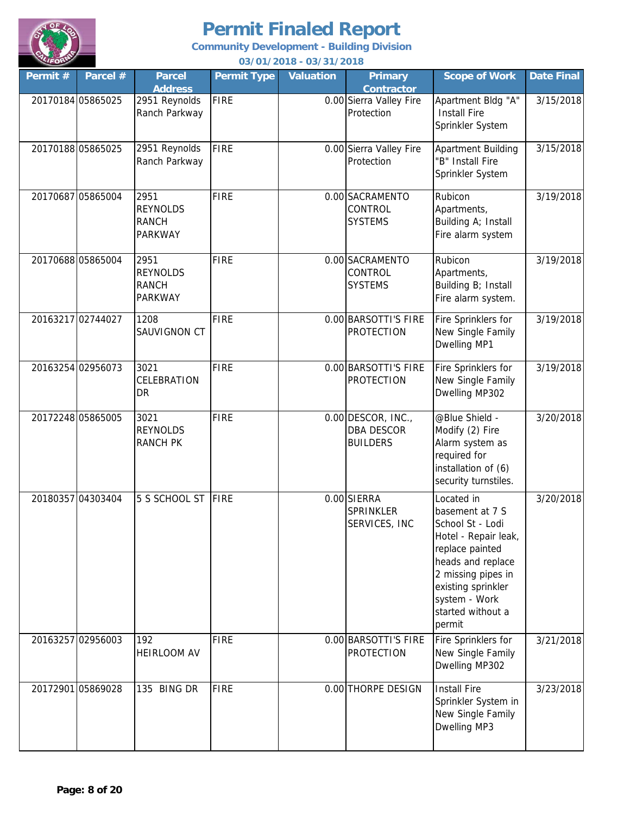

**Community Development - Building Division**

| VLIFORD           |                   |                                                           |                    | 03/01/2018 - 03/31/2018 |                                                            |                                                                                                                                                                                                               |                   |
|-------------------|-------------------|-----------------------------------------------------------|--------------------|-------------------------|------------------------------------------------------------|---------------------------------------------------------------------------------------------------------------------------------------------------------------------------------------------------------------|-------------------|
| Permit #          | Parcel #          | <b>Parcel</b><br><b>Address</b>                           | <b>Permit Type</b> | <b>Valuation</b>        | <b>Primary</b><br><b>Contractor</b>                        | <b>Scope of Work</b>                                                                                                                                                                                          | <b>Date Final</b> |
| 20170184 05865025 |                   | 2951 Reynolds<br>Ranch Parkway                            | <b>FIRE</b>        |                         | 0.00 Sierra Valley Fire<br>Protection                      | Apartment Bldg "A"<br><b>Install Fire</b><br>Sprinkler System                                                                                                                                                 | 3/15/2018         |
|                   | 20170188 05865025 | 2951 Reynolds<br>Ranch Parkway                            | <b>FIRE</b>        |                         | 0.00 Sierra Valley Fire<br>Protection                      | Apartment Building<br>"B" Install Fire<br>Sprinkler System                                                                                                                                                    | 3/15/2018         |
|                   | 20170687 05865004 | 2951<br><b>REYNOLDS</b><br><b>RANCH</b><br><b>PARKWAY</b> | <b>FIRE</b>        |                         | 0.00 SACRAMENTO<br>CONTROL<br><b>SYSTEMS</b>               | Rubicon<br>Apartments,<br>Building A; Install<br>Fire alarm system                                                                                                                                            | 3/19/2018         |
|                   | 20170688 05865004 | 2951<br><b>REYNOLDS</b><br><b>RANCH</b><br><b>PARKWAY</b> | <b>FIRE</b>        |                         | 0.00 SACRAMENTO<br>CONTROL<br><b>SYSTEMS</b>               | Rubicon<br>Apartments,<br>Building B; Install<br>Fire alarm system.                                                                                                                                           | 3/19/2018         |
| 20163217 02744027 |                   | 1208<br>SAUVIGNON CT                                      | <b>FIRE</b>        |                         | 0.00 BARSOTTI'S FIRE<br><b>PROTECTION</b>                  | Fire Sprinklers for<br>New Single Family<br>Dwelling MP1                                                                                                                                                      | 3/19/2018         |
|                   | 20163254 02956073 | 3021<br>CELEBRATION<br>DR                                 | <b>FIRE</b>        |                         | 0.00 BARSOTTI'S FIRE<br><b>PROTECTION</b>                  | Fire Sprinklers for<br>New Single Family<br>Dwelling MP302                                                                                                                                                    | 3/19/2018         |
|                   | 20172248 05865005 | 3021<br><b>REYNOLDS</b><br><b>RANCH PK</b>                | <b>FIRE</b>        |                         | 0.00 DESCOR, INC.,<br><b>DBA DESCOR</b><br><b>BUILDERS</b> | @Blue Shield -<br>Modify (2) Fire<br>Alarm system as<br>required for<br>installation of (6)<br>security turnstiles.                                                                                           | 3/20/2018         |
|                   | 20180357 04303404 | 5 S SCHOOL ST                                             | <b>FIRE</b>        |                         | 0.00 SIERRA<br>SPRINKLER<br>SERVICES, INC                  | Located in<br>basement at 7 S<br>School St - Lodi<br>Hotel - Repair leak,<br>replace painted<br>heads and replace<br>2 missing pipes in<br>existing sprinkler<br>system - Work<br>started without a<br>permit | 3/20/2018         |
|                   | 20163257 02956003 | 192<br><b>HEIRLOOM AV</b>                                 | <b>FIRE</b>        |                         | 0.00 BARSOTTI'S FIRE<br><b>PROTECTION</b>                  | Fire Sprinklers for<br>New Single Family<br>Dwelling MP302                                                                                                                                                    | 3/21/2018         |
|                   | 20172901 05869028 | 135 BING DR                                               | <b>FIRE</b>        |                         | 0.00 THORPE DESIGN                                         | <b>Install Fire</b><br>Sprinkler System in<br>New Single Family<br>Dwelling MP3                                                                                                                               | 3/23/2018         |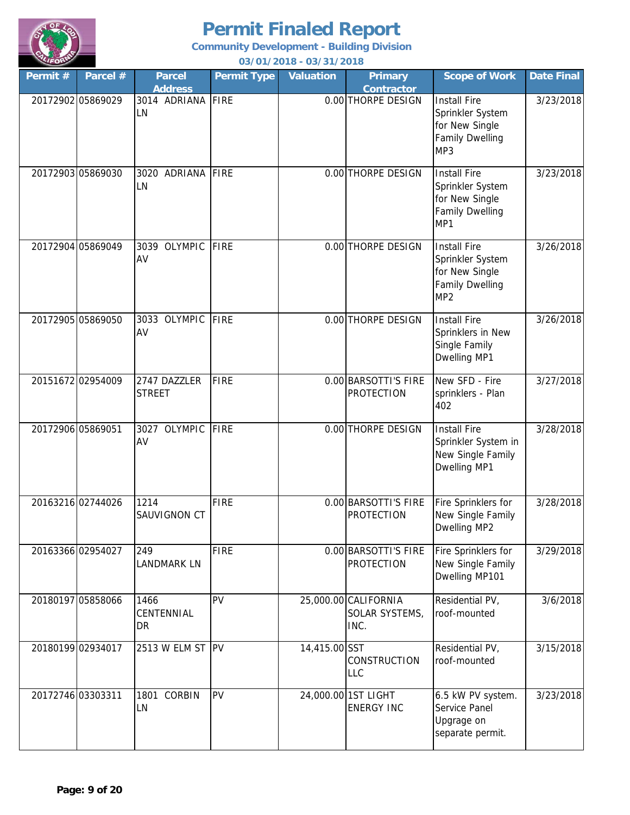

| Permit#           | Parcel #          | <b>Parcel</b><br><b>Address</b> | <b>Permit Type</b> | <b>Valuation</b> | <b>Primary</b><br><b>Contractor</b>            | <b>Scope of Work</b>                                                                            | <b>Date Final</b> |
|-------------------|-------------------|---------------------------------|--------------------|------------------|------------------------------------------------|-------------------------------------------------------------------------------------------------|-------------------|
|                   | 20172902 05869029 | 3014 ADRIANA<br>LN              | <b>FIRE</b>        |                  | 0.00 THORPE DESIGN                             | Install Fire<br>Sprinkler System<br>for New Single<br><b>Family Dwelling</b><br>MP3             | 3/23/2018         |
|                   | 20172903 05869030 | 3020 ADRIANA<br>LN              | <b>FIRE</b>        |                  | 0.00 THORPE DESIGN                             | Install Fire<br>Sprinkler System<br>for New Single<br><b>Family Dwelling</b><br>MP1             | 3/23/2018         |
|                   | 20172904 05869049 | 3039 OLYMPIC<br>AV              | <b>FIRE</b>        |                  | 0.00 THORPE DESIGN                             | Install Fire<br>Sprinkler System<br>for New Single<br><b>Family Dwelling</b><br>MP <sub>2</sub> | 3/26/2018         |
|                   | 20172905 05869050 | 3033 OLYMPIC<br>AV              | <b>FIRE</b>        |                  | 0.00 THORPE DESIGN                             | Install Fire<br>Sprinklers in New<br>Single Family<br>Dwelling MP1                              | 3/26/2018         |
|                   | 20151672 02954009 | 2747 DAZZLER<br><b>STREET</b>   | <b>FIRE</b>        |                  | 0.00 BARSOTTI'S FIRE<br><b>PROTECTION</b>      | New SFD - Fire<br>sprinklers - Plan<br>402                                                      | 3/27/2018         |
| 20172906 05869051 |                   | 3027 OLYMPIC<br>AV              | <b>FIRE</b>        |                  | 0.00 THORPE DESIGN                             | Install Fire<br>Sprinkler System in<br>New Single Family<br>Dwelling MP1                        | 3/28/2018         |
|                   | 20163216 02744026 | 1214<br>SAUVIGNON CT            | <b>FIRE</b>        |                  | 0.00 BARSOTTI'S FIRE<br><b>PROTECTION</b>      | Fire Sprinklers for<br>New Single Family<br>Dwelling MP2                                        | 3/28/2018         |
|                   | 20163366 02954027 | 249<br><b>LANDMARK LN</b>       | <b>FIRE</b>        |                  | 0.00 BARSOTTI'S FIRE<br><b>PROTECTION</b>      | Fire Sprinklers for<br>New Single Family<br>Dwelling MP101                                      | 3/29/2018         |
|                   | 20180197 05858066 | 1466<br>CENTENNIAL<br>DR        | PV                 |                  | 25,000.00 CALIFORNIA<br>SOLAR SYSTEMS,<br>INC. | Residential PV,<br>roof-mounted                                                                 | 3/6/2018          |
|                   | 20180199 02934017 | 2513 W ELM ST                   | <b>PV</b>          | 14,415.00 SST    | <b>CONSTRUCTION</b><br><b>LLC</b>              | Residential PV,<br>roof-mounted                                                                 | 3/15/2018         |
| 20172746 03303311 |                   | 1801 CORBIN<br>LN               | PV                 |                  | 24,000.00 1ST LIGHT<br><b>ENERGY INC</b>       | 6.5 kW PV system.<br>Service Panel<br>Upgrage on<br>separate permit.                            | 3/23/2018         |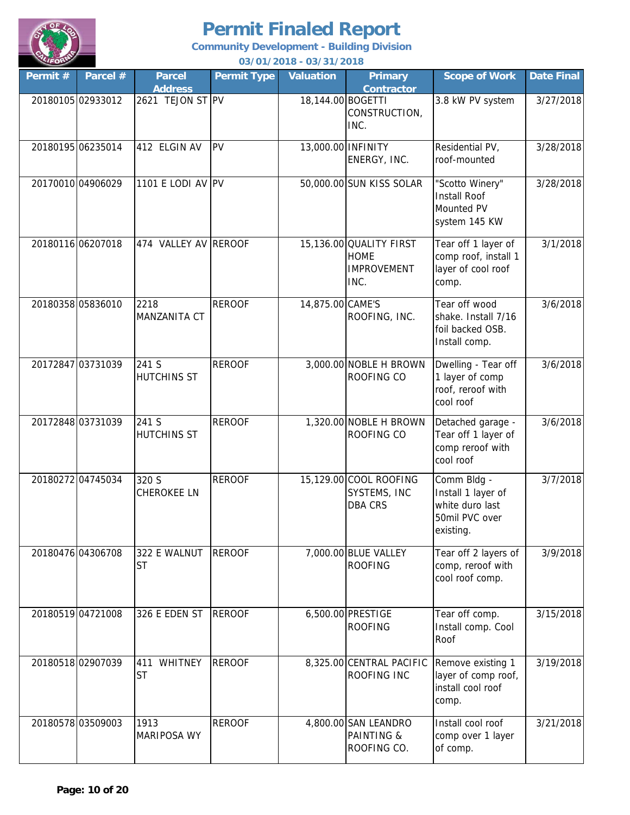

| Permit #          | Parcel #          | <b>Parcel</b>                      | <b>Permit Type</b> | 037 0 17 20 10 - 037 3 17 20 10<br><b>Valuation</b> | <b>Primary</b>                                                       | <b>Scope of Work</b>                                                                | <b>Date Final</b> |
|-------------------|-------------------|------------------------------------|--------------------|-----------------------------------------------------|----------------------------------------------------------------------|-------------------------------------------------------------------------------------|-------------------|
|                   | 20180105 02933012 | <b>Address</b><br>2621 TEJON ST PV |                    | 18,144.00 BOGETTI                                   | <b>Contractor</b><br>CONSTRUCTION,<br>INC.                           | 3.8 kW PV system                                                                    | 3/27/2018         |
|                   | 20180195 06235014 | 412 ELGIN AV                       | PV                 | 13,000.00 INFINITY                                  | ENERGY, INC.                                                         | Residential PV,<br>roof-mounted                                                     | 3/28/2018         |
|                   | 20170010 04906029 | 1101 E LODI AV PV                  |                    |                                                     | 50,000.00 SUN KISS SOLAR                                             | "Scotto Winery"<br><b>Install Roof</b><br>Mounted PV<br>system 145 KW               | 3/28/2018         |
| 20180116 06207018 |                   | 474 VALLEY AV REROOF               |                    |                                                     | 15,136.00 QUALITY FIRST<br><b>HOME</b><br><b>IMPROVEMENT</b><br>INC. | Tear off 1 layer of<br>comp roof, install 1<br>layer of cool roof<br>comp.          | 3/1/2018          |
|                   | 20180358 05836010 | 2218<br>MANZANITA CT               | <b>REROOF</b>      | 14,875.00 CAME'S                                    | ROOFING, INC.                                                        | Tear off wood<br>shake. Install 7/16<br>foil backed OSB.<br>Install comp.           | 3/6/2018          |
| 20172847 03731039 |                   | 241 S<br>HUTCHINS ST               | <b>REROOF</b>      |                                                     | 3,000.00 NOBLE H BROWN<br>ROOFING CO                                 | Dwelling - Tear off<br>1 layer of comp<br>roof, reroof with<br>cool roof            | 3/6/2018          |
| 20172848 03731039 |                   | 241 S<br><b>HUTCHINS ST</b>        | <b>REROOF</b>      |                                                     | 1,320.00 NOBLE H BROWN<br>ROOFING CO                                 | Detached garage -<br>Tear off 1 layer of<br>comp reroof with<br>cool roof           | 3/6/2018          |
|                   | 20180272 04745034 | 320 S<br><b>CHEROKEE LN</b>        | <b>REROOF</b>      |                                                     | 15,129.00 COOL ROOFING<br>SYSTEMS, INC<br><b>DBA CRS</b>             | Comm Bldg -<br>Install 1 layer of<br>white duro last<br>50mil PVC over<br>existing. | 3/7/2018          |
| 20180476 04306708 |                   | 322 E WALNUT<br><b>ST</b>          | <b>REROOF</b>      |                                                     | 7,000.00 BLUE VALLEY<br><b>ROOFING</b>                               | Tear off 2 layers of<br>comp, reroof with<br>cool roof comp.                        | 3/9/2018          |
| 20180519 04721008 |                   | 326 E EDEN ST                      | <b>REROOF</b>      |                                                     | 6,500.00 PRESTIGE<br><b>ROOFING</b>                                  | Tear off comp.<br>Install comp. Cool<br>Roof                                        | 3/15/2018         |
| 20180518 02907039 |                   | WHITNEY<br>411<br><b>ST</b>        | <b>REROOF</b>      |                                                     | 8,325.00 CENTRAL PACIFIC<br>ROOFING INC                              | Remove existing 1<br>layer of comp roof,<br>install cool roof<br>comp.              | 3/19/2018         |
|                   | 20180578 03509003 | 1913<br><b>MARIPOSA WY</b>         | <b>REROOF</b>      |                                                     | 4,800.00 SAN LEANDRO<br><b>PAINTING &amp;</b><br>ROOFING CO.         | Install cool roof<br>comp over 1 layer<br>of comp.                                  | 3/21/2018         |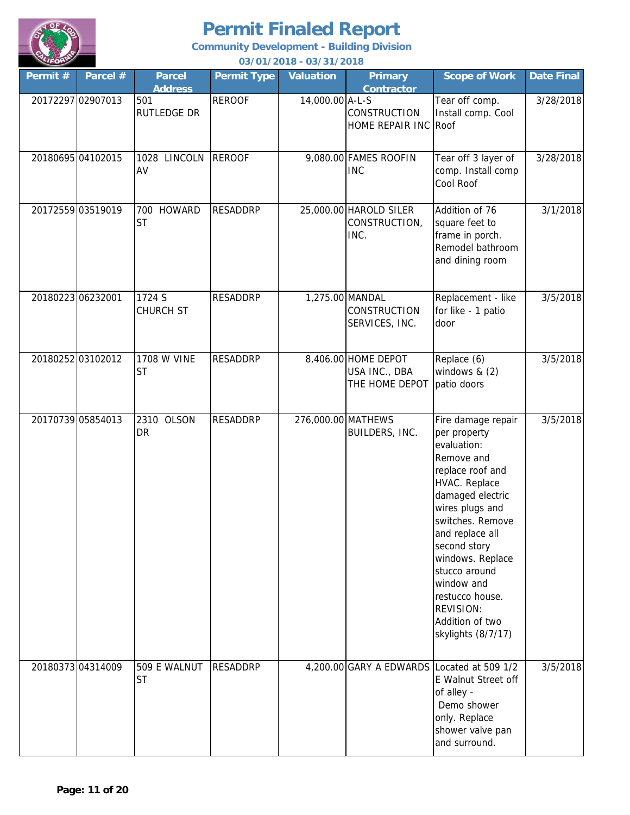

| $\sim$<br>Permit # | Parcel #          | <b>Parcel</b><br><b>Address</b> | <b>Permit Type</b> | 03/01/2010 - 03/31/2010<br><b>Valuation</b> | <b>Primary</b><br><b>Contractor</b>                    | <b>Scope of Work</b>                                                                                                                                                                                                                                                                                                                  | <b>Date Final</b> |
|--------------------|-------------------|---------------------------------|--------------------|---------------------------------------------|--------------------------------------------------------|---------------------------------------------------------------------------------------------------------------------------------------------------------------------------------------------------------------------------------------------------------------------------------------------------------------------------------------|-------------------|
| 20172297 02907013  |                   | 501<br><b>RUTLEDGE DR</b>       | <b>REROOF</b>      | 14,000.00 A-L-S                             | CONSTRUCTION<br>HOME REPAIR INC Roof                   | Tear off comp.<br>Install comp. Cool                                                                                                                                                                                                                                                                                                  | 3/28/2018         |
| 20180695 04102015  |                   | 1028 LINCOLN<br>AV              | <b>REROOF</b>      |                                             | 9,080.00 FAMES ROOFIN<br><b>INC</b>                    | Tear off 3 layer of<br>comp. Install comp<br>Cool Roof                                                                                                                                                                                                                                                                                | 3/28/2018         |
| 20172559 03519019  |                   | 700 HOWARD<br><b>ST</b>         | <b>RESADDRP</b>    |                                             | 25,000.00 HAROLD SILER<br>CONSTRUCTION,<br>INC.        | Addition of 76<br>square feet to<br>frame in porch.<br>Remodel bathroom<br>and dining room                                                                                                                                                                                                                                            | 3/1/2018          |
| 20180223 06232001  |                   | 1724 S<br>CHURCH ST             | <b>RESADDRP</b>    |                                             | 1,275.00 MANDAL<br>CONSTRUCTION<br>SERVICES, INC.      | Replacement - like<br>for like - 1 patio<br>door                                                                                                                                                                                                                                                                                      | 3/5/2018          |
|                    | 20180252 03102012 | 1708 W VINE<br><b>ST</b>        | <b>RESADDRP</b>    |                                             | 8,406.00 HOME DEPOT<br>USA INC., DBA<br>THE HOME DEPOT | Replace (6)<br>windows $& (2)$<br>patio doors                                                                                                                                                                                                                                                                                         | 3/5/2018          |
| 20170739 05854013  |                   | 2310 OLSON<br><b>DR</b>         | <b>RESADDRP</b>    | 276,000.00 MATHEWS                          | BUILDERS, INC.                                         | Fire damage repair<br>per property<br>evaluation:<br>Remove and<br>replace roof and<br>HVAC. Replace<br>damaged electric<br>wires plugs and<br>switches. Remove<br>and replace all<br>second story<br>windows. Replace<br>stucco around<br>window and<br>restucco house.<br><b>REVISION:</b><br>Addition of two<br>skylights (8/7/17) | 3/5/2018          |
| 20180373 04314009  |                   | 509 E WALNUT<br><b>ST</b>       | <b>RESADDRP</b>    |                                             |                                                        | 4,200.00 GARY A EDWARDS Located at 509 1/2<br>E Walnut Street off<br>of alley -<br>Demo shower<br>only. Replace<br>shower valve pan<br>and surround.                                                                                                                                                                                  | 3/5/2018          |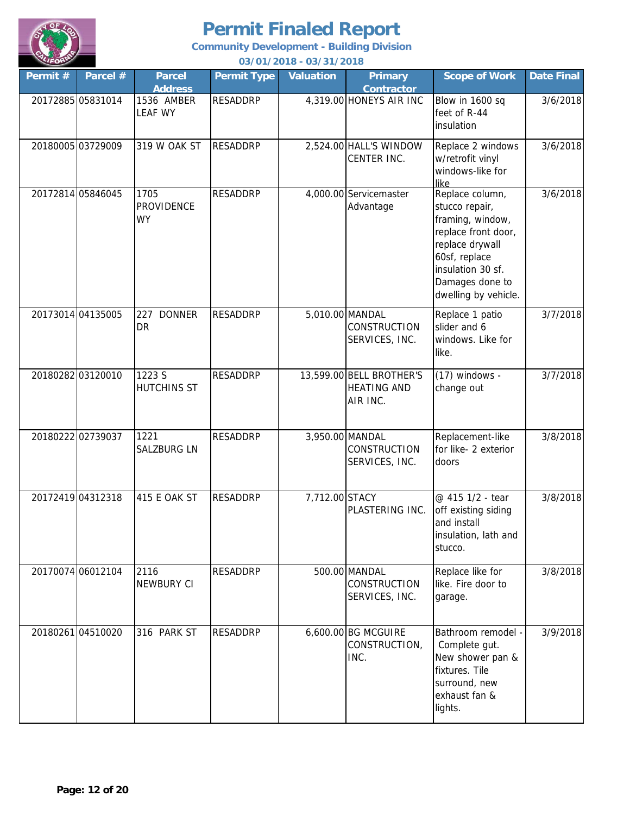

| Permit # | Parcel #          | <b>Parcel</b><br><b>Address</b>        | <b>Permit Type</b> | <b>Valuation</b> | <b>Primary</b><br><b>Contractor</b>                        | <b>Scope of Work</b>                                                                                                                                                             | <b>Date Final</b> |
|----------|-------------------|----------------------------------------|--------------------|------------------|------------------------------------------------------------|----------------------------------------------------------------------------------------------------------------------------------------------------------------------------------|-------------------|
|          | 20172885 05831014 | 1536 AMBER<br><b>LEAF WY</b>           | <b>RESADDRP</b>    |                  | 4,319.00 HONEYS AIR INC                                    | Blow in 1600 sq<br>feet of R-44<br>insulation                                                                                                                                    | 3/6/2018          |
|          | 20180005 03729009 | 319 W OAK ST                           | <b>RESADDRP</b>    |                  | 2,524.00 HALL'S WINDOW<br>CENTER INC.                      | Replace 2 windows<br>w/retrofit vinyl<br>windows-like for<br>like                                                                                                                | 3/6/2018          |
|          | 20172814 05846045 | 1705<br><b>PROVIDENCE</b><br><b>WY</b> | <b>RESADDRP</b>    |                  | 4,000.00 Servicemaster<br>Advantage                        | Replace column,<br>stucco repair,<br>framing, window,<br>replace front door,<br>replace drywall<br>60sf, replace<br>insulation 30 sf.<br>Damages done to<br>dwelling by vehicle. | 3/6/2018          |
|          | 20173014 04135005 | <b>DONNER</b><br>227<br><b>DR</b>      | <b>RESADDRP</b>    |                  | 5,010.00 MANDAL<br><b>CONSTRUCTION</b><br>SERVICES, INC.   | Replace 1 patio<br>slider and 6<br>windows. Like for<br>like.                                                                                                                    | 3/7/2018          |
|          | 20180282 03120010 | 1223 S<br><b>HUTCHINS ST</b>           | <b>RESADDRP</b>    |                  | 13,599.00 BELL BROTHER'S<br><b>HEATING AND</b><br>AIR INC. | $(17)$ windows -<br>change out                                                                                                                                                   | 3/7/2018          |
|          | 20180222 02739037 | 1221<br><b>SALZBURG LN</b>             | <b>RESADDRP</b>    |                  | 3,950.00 MANDAL<br>CONSTRUCTION<br>SERVICES, INC.          | Replacement-like<br>for like- 2 exterior<br>doors                                                                                                                                | 3/8/2018          |
|          | 20172419 04312318 | 415 E OAK ST                           | <b>RESADDRP</b>    | 7,712.00 STACY   | PLASTERING INC.                                            | @ 415 1/2 - tear<br>off existing siding<br>and install<br>insulation, lath and<br>stucco.                                                                                        | 3/8/2018          |
|          | 20170074 06012104 | 2116<br>NEWBURY CI                     | <b>RESADDRP</b>    |                  | 500.00 MANDAL<br><b>CONSTRUCTION</b><br>SERVICES, INC.     | Replace like for<br>like. Fire door to<br>garage.                                                                                                                                | 3/8/2018          |
|          | 20180261 04510020 | 316 PARK ST                            | <b>RESADDRP</b>    |                  | 6,600.00 BG MCGUIRE<br>CONSTRUCTION,<br>INC.               | Bathroom remodel -<br>Complete gut.<br>New shower pan &<br>fixtures. Tile<br>surround, new<br>exhaust fan &<br>lights.                                                           | 3/9/2018          |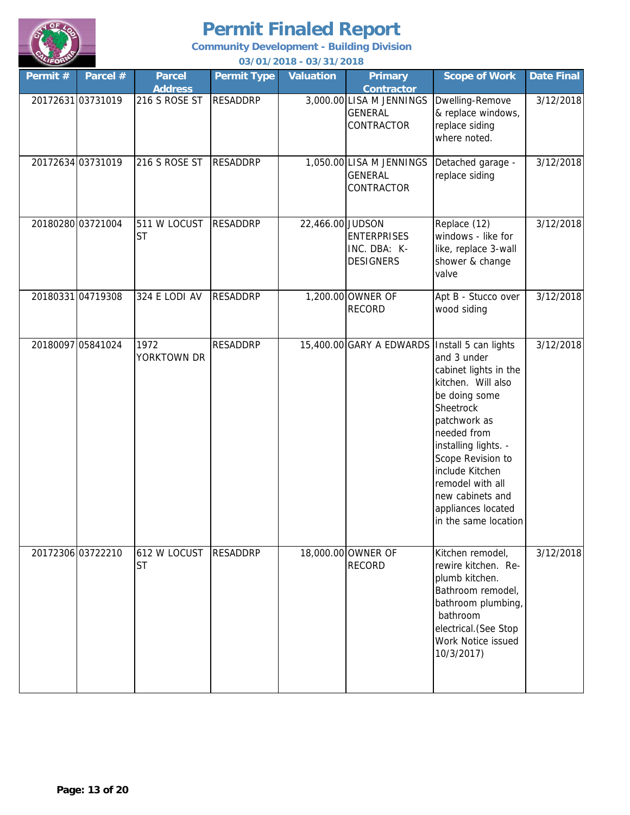

**Community Development - Building Division**

| Permit # | Parcel #          | <b>Parcel</b><br><b>Address</b> | <b>Permit Type</b> | <b>Valuation</b> | <b>Primary</b><br><b>Contractor</b>                      | <b>Scope of Work</b>                                                                                                                                                                                                                                                          | <b>Date Final</b> |
|----------|-------------------|---------------------------------|--------------------|------------------|----------------------------------------------------------|-------------------------------------------------------------------------------------------------------------------------------------------------------------------------------------------------------------------------------------------------------------------------------|-------------------|
|          | 20172631 03731019 | 216 S ROSE ST                   | <b>RESADDRP</b>    |                  | 3,000.00 LISA M JENNINGS<br><b>GENERAL</b><br>CONTRACTOR | Dwelling-Remove<br>& replace windows,<br>replace siding<br>where noted.                                                                                                                                                                                                       | 3/12/2018         |
|          | 20172634 03731019 | 216 S ROSE ST                   | <b>RESADDRP</b>    |                  | 1,050.00 LISA M JENNINGS<br><b>GENERAL</b><br>CONTRACTOR | Detached garage -<br>replace siding                                                                                                                                                                                                                                           | 3/12/2018         |
|          | 20180280 03721004 | 511 W LOCUST<br><b>ST</b>       | <b>RESADDRP</b>    | 22,466.00 JUDSON | <b>ENTERPRISES</b><br>INC. DBA: K-<br><b>DESIGNERS</b>   | Replace (12)<br>windows - like for<br>like, replace 3-wall<br>shower & change<br>valve                                                                                                                                                                                        | 3/12/2018         |
|          | 20180331 04719308 | 324 E LODI AV                   | <b>RESADDRP</b>    |                  | 1,200.00 OWNER OF<br><b>RECORD</b>                       | Apt B - Stucco over<br>wood siding                                                                                                                                                                                                                                            | 3/12/2018         |
|          | 20180097 05841024 | 1972<br>YORKTOWN DR             | <b>RESADDRP</b>    |                  | 15,400.00 GARY A EDWARDS   Install 5 can lights          | and 3 under<br>cabinet lights in the<br>kitchen. Will also<br>be doing some<br>Sheetrock<br>patchwork as<br>needed from<br>installing lights. -<br>Scope Revision to<br>include Kitchen<br>remodel with all<br>new cabinets and<br>appliances located<br>in the same location | 3/12/2018         |
|          | 20172306 03722210 | 612 W LOCUST<br><b>ST</b>       | <b>RESADDRP</b>    |                  | 18,000.00 OWNER OF<br><b>RECORD</b>                      | Kitchen remodel,<br>rewire kitchen. Re-<br>plumb kitchen.<br>Bathroom remodel,<br>bathroom plumbing,<br>bathroom<br>electrical. (See Stop<br>Work Notice issued<br>10/3/2017)                                                                                                 | 3/12/2018         |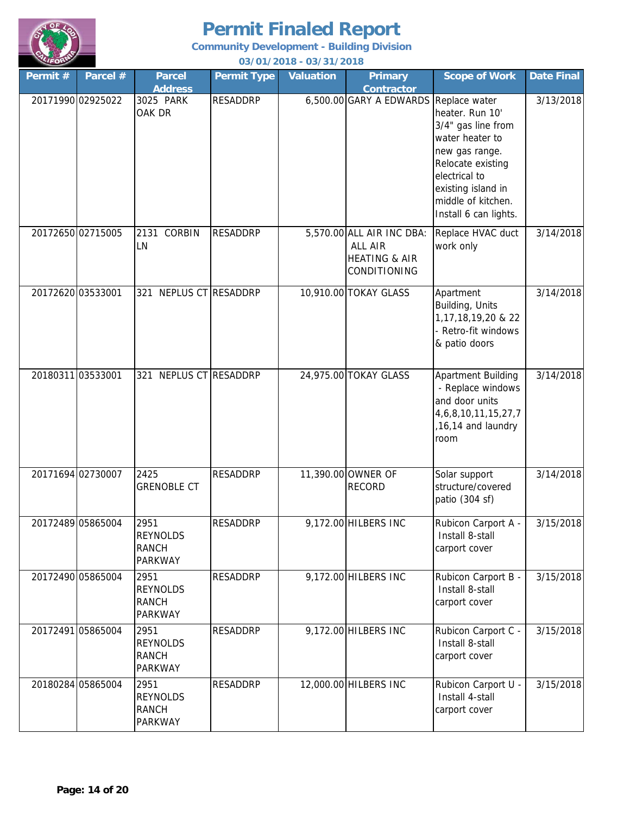

**Community Development - Building Division**

| Permit # | Parcel #          | <b>Parcel</b><br><b>Address</b>                           | <b>Permit Type</b> | <b>Valuation</b> | <b>Primary</b><br><b>Contractor</b>                                              | <b>Scope of Work</b>                                                                                                                                                                                   | <b>Date Final</b> |
|----------|-------------------|-----------------------------------------------------------|--------------------|------------------|----------------------------------------------------------------------------------|--------------------------------------------------------------------------------------------------------------------------------------------------------------------------------------------------------|-------------------|
|          | 20171990 02925022 | 3025 PARK<br>OAK DR                                       | <b>RESADDRP</b>    |                  | $6,500.00$ GARY A EDWARDS                                                        | Replace water<br>heater. Run 10'<br>3/4" gas line from<br>water heater to<br>new gas range.<br>Relocate existing<br>electrical to<br>existing island in<br>middle of kitchen.<br>Install 6 can lights. | 3/13/2018         |
|          | 20172650 02715005 | 2131 CORBIN<br>LN                                         | <b>RESADDRP</b>    |                  | 5,570.00 ALL AIR INC DBA:<br>ALL AIR<br><b>HEATING &amp; AIR</b><br>CONDITIONING | Replace HVAC duct<br>work only                                                                                                                                                                         | 3/14/2018         |
|          | 20172620 03533001 | NEPLUS CT RESADDRP<br>321                                 |                    |                  | 10,910.00 TOKAY GLASS                                                            | Apartment<br>Building, Units<br>1, 17, 18, 19, 20 & 22<br>- Retro-fit windows<br>& patio doors                                                                                                         | 3/14/2018         |
|          | 20180311 03533001 | NEPLUS CT RESADDRP<br>321                                 |                    |                  | 24,975.00 TOKAY GLASS                                                            | Apartment Building<br>- Replace windows<br>and door units<br>4, 6, 8, 10, 11, 15, 27, 7<br>,16,14 and laundry<br>room                                                                                  | 3/14/2018         |
|          | 20171694 02730007 | 2425<br><b>GRENOBLE CT</b>                                | <b>RESADDRP</b>    |                  | 11,390.00 OWNER OF<br><b>RECORD</b>                                              | Solar support<br>structure/covered<br>patio (304 sf)                                                                                                                                                   | 3/14/2018         |
|          | 20172489 05865004 | 2951<br><b>REYNOLDS</b><br><b>RANCH</b><br><b>PARKWAY</b> | <b>RESADDRP</b>    |                  | 9,172.00 HILBERS INC                                                             | Rubicon Carport A -<br>Install 8-stall<br>carport cover                                                                                                                                                | 3/15/2018         |
|          | 20172490 05865004 | 2951<br><b>REYNOLDS</b><br><b>RANCH</b><br><b>PARKWAY</b> | <b>RESADDRP</b>    |                  | 9,172.00 HILBERS INC                                                             | Rubicon Carport B -<br>Install 8-stall<br>carport cover                                                                                                                                                | 3/15/2018         |
|          | 20172491 05865004 | 2951<br><b>REYNOLDS</b><br><b>RANCH</b><br>PARKWAY        | RESADDRP           |                  | 9,172.00 HILBERS INC                                                             | Rubicon Carport C -<br>Install 8-stall<br>carport cover                                                                                                                                                | 3/15/2018         |
|          | 20180284 05865004 | 2951<br><b>REYNOLDS</b><br><b>RANCH</b><br>PARKWAY        | <b>RESADDRP</b>    |                  | 12,000.00 HILBERS INC                                                            | Rubicon Carport U -<br>Install 4-stall<br>carport cover                                                                                                                                                | 3/15/2018         |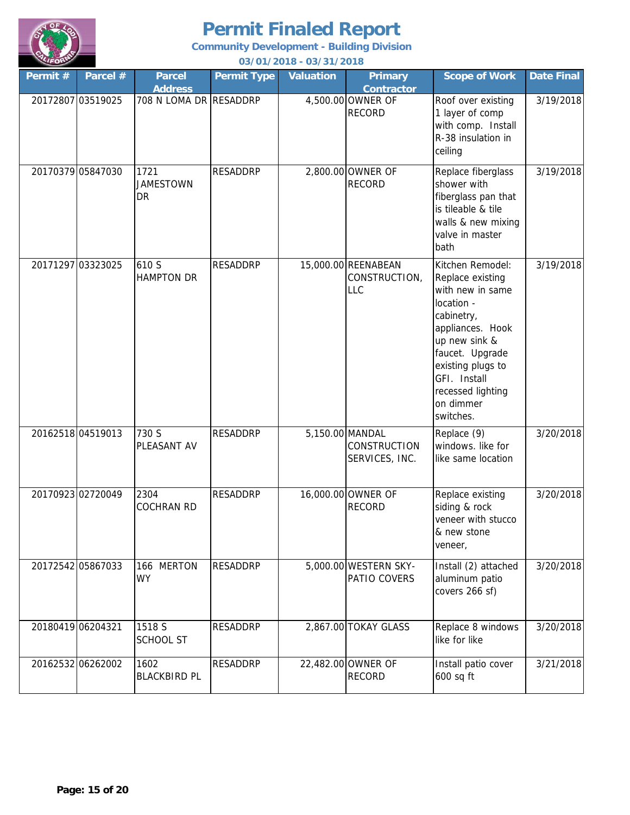

|                   |                   |                                 |                    | 037 0 17 20 10 - 037 3 17 20 10 |                                                    |                                                                                                                                                                                                                                  |                   |
|-------------------|-------------------|---------------------------------|--------------------|---------------------------------|----------------------------------------------------|----------------------------------------------------------------------------------------------------------------------------------------------------------------------------------------------------------------------------------|-------------------|
| Permit #          | Parcel #          | <b>Parcel</b><br><b>Address</b> | <b>Permit Type</b> | <b>Valuation</b>                | <b>Primary</b><br><b>Contractor</b>                | <b>Scope of Work</b>                                                                                                                                                                                                             | <b>Date Final</b> |
|                   | 20172807 03519025 | 708 N LOMA DR RESADDRP          |                    |                                 | 4,500.00 OWNER OF<br><b>RECORD</b>                 | Roof over existing<br>1 layer of comp<br>with comp. Install<br>R-38 insulation in<br>ceiling                                                                                                                                     | 3/19/2018         |
|                   | 20170379 05847030 | 1721<br><b>JAMESTOWN</b><br>DR  | <b>RESADDRP</b>    |                                 | 2,800.00 OWNER OF<br><b>RECORD</b>                 | Replace fiberglass<br>shower with<br>fiberglass pan that<br>is tileable & tile<br>walls & new mixing<br>valve in master<br>bath                                                                                                  | 3/19/2018         |
|                   | 20171297 03323025 | 610 S<br><b>HAMPTON DR</b>      | <b>RESADDRP</b>    |                                 | 15,000.00 REENABEAN<br>CONSTRUCTION,<br><b>LLC</b> | Kitchen Remodel:<br>Replace existing<br>with new in same<br>location -<br>cabinetry,<br>appliances. Hook<br>up new sink &<br>faucet. Upgrade<br>existing plugs to<br>GFI. Install<br>recessed lighting<br>on dimmer<br>switches. | 3/19/2018         |
|                   | 20162518 04519013 | 730 S<br>PLEASANT AV            | <b>RESADDRP</b>    | 5,150.00 MANDAL                 | <b>CONSTRUCTION</b><br>SERVICES, INC.              | Replace (9)<br>windows. like for<br>like same location                                                                                                                                                                           | 3/20/2018         |
|                   | 20170923 02720049 | 2304<br><b>COCHRAN RD</b>       | <b>RESADDRP</b>    |                                 | 16,000.00 OWNER OF<br><b>RECORD</b>                | Replace existing<br>siding & rock<br>veneer with stucco<br>& new stone<br>veneer,                                                                                                                                                | 3/20/2018         |
|                   | 20172542 05867033 | 166 MERTON<br><b>WY</b>         | RESADDRP           |                                 | 5,000.00 WESTERN SKY-<br>PATIO COVERS              | Install (2) attached<br>aluminum patio<br>covers 266 sf)                                                                                                                                                                         | 3/20/2018         |
| 20180419 06204321 |                   | 1518 S<br><b>SCHOOL ST</b>      | <b>RESADDRP</b>    |                                 | 2,867.00 TOKAY GLASS                               | Replace 8 windows<br>like for like                                                                                                                                                                                               | 3/20/2018         |
|                   | 20162532 06262002 | 1602<br><b>BLACKBIRD PL</b>     | RESADDRP           |                                 | 22,482.00 OWNER OF<br><b>RECORD</b>                | Install patio cover<br>600 sq ft                                                                                                                                                                                                 | 3/21/2018         |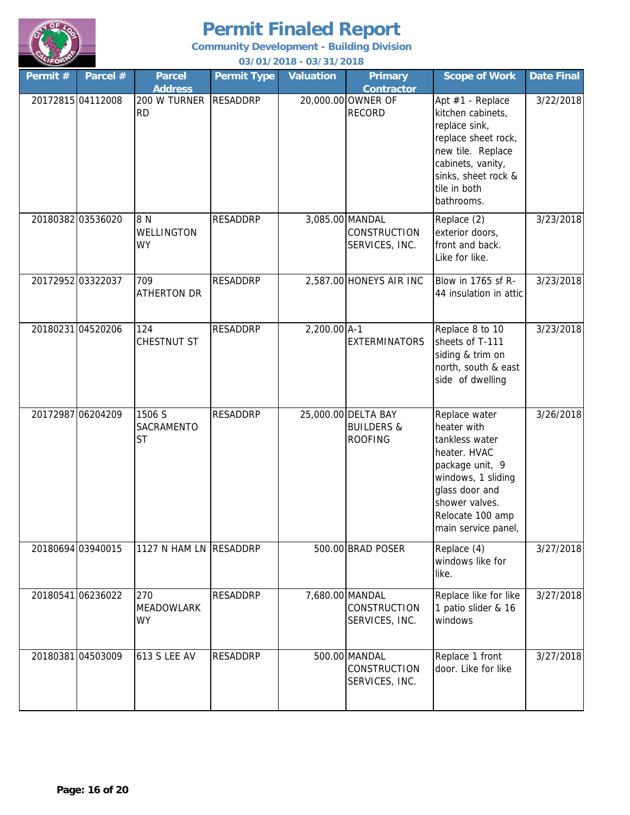

**Community Development - Building Division**

| Permit # | Parcel #          | <b>Parcel</b><br><b>Address</b>       | <b>Permit Type</b> | <b>Valuation</b> | <b>Primary</b><br><b>Contractor</b>                            | <b>Scope of Work</b>                                                                                                                                                                   | <b>Date Final</b> |
|----------|-------------------|---------------------------------------|--------------------|------------------|----------------------------------------------------------------|----------------------------------------------------------------------------------------------------------------------------------------------------------------------------------------|-------------------|
|          | 20172815 04112008 | 200 W TURNER<br><b>RD</b>             | <b>RESADDRP</b>    |                  | 20,000.00 OWNER OF<br><b>RECORD</b>                            | Apt #1 - Replace<br>kitchen cabinets,<br>replace sink,<br>replace sheet rock,<br>new tile. Replace<br>cabinets, vanity,<br>sinks, sheet rock &<br>tile in both<br>bathrooms.           | 3/22/2018         |
|          | 20180382 03536020 | 8 N<br>WELLINGTON<br><b>WY</b>        | <b>RESADDRP</b>    |                  | 3,085.00 MANDAL<br>CONSTRUCTION<br>SERVICES, INC.              | Replace (2)<br>exterior doors,<br>front and back.<br>Like for like.                                                                                                                    | 3/23/2018         |
|          | 20172952 03322037 | 709<br><b>ATHERTON DR</b>             | <b>RESADDRP</b>    |                  | 2,587.00 HONEYS AIR INC                                        | Blow in 1765 sf R-<br>44 insulation in attic                                                                                                                                           | 3/23/2018         |
|          | 20180231 04520206 | 124<br>CHESTNUT ST                    | <b>RESADDRP</b>    | 2,200.00 A-1     | <b>EXTERMINATORS</b>                                           | Replace 8 to 10<br>sheets of T-111<br>siding & trim on<br>north, south & east<br>side of dwelling                                                                                      | 3/23/2018         |
|          | 20172987 06204209 | 1506 S<br>SACRAMENTO<br><b>ST</b>     | <b>RESADDRP</b>    |                  | 25,000.00 DELTA BAY<br><b>BUILDERS &amp;</b><br><b>ROOFING</b> | Replace water<br>heater with<br>tankless water<br>heater. HVAC<br>package unit, 9<br>windows, 1 sliding<br>glass door and<br>shower valves.<br>Relocate 100 amp<br>main service panel, | 3/26/2018         |
|          | 20180694 03940015 | 1127 N HAM LN RESADDRP                |                    |                  | 500.00 BRAD POSER                                              | Replace (4)<br>windows like for<br>like.                                                                                                                                               | 3/27/2018         |
|          | 20180541 06236022 | 270<br><b>MEADOWLARK</b><br><b>WY</b> | <b>RESADDRP</b>    |                  | 7,680.00 MANDAL<br>CONSTRUCTION<br>SERVICES, INC.              | Replace like for like<br>1 patio slider & 16<br>windows                                                                                                                                | 3/27/2018         |
|          | 20180381 04503009 | 613 S LEE AV                          | <b>RESADDRP</b>    |                  | 500.00 MANDAL<br>CONSTRUCTION<br>SERVICES, INC.                | Replace 1 front<br>door. Like for like                                                                                                                                                 | 3/27/2018         |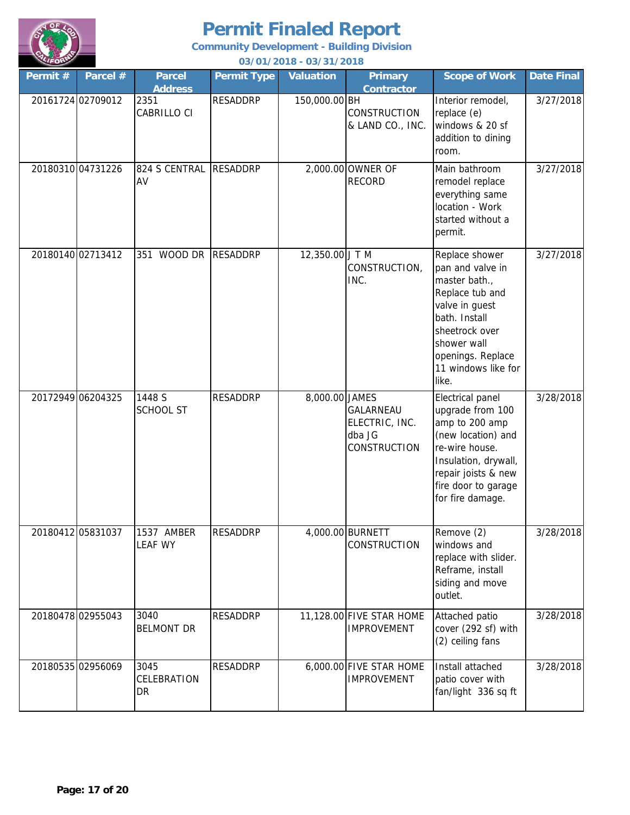

**Community Development - Building Division**

| Permit # | Parcel #          | <b>Parcel</b><br><b>Address</b> | <b>Permit Type</b> | <b>Valuation</b> | <b>Primary</b><br><b>Contractor</b>                   | <b>Scope of Work</b>                                                                                                                                                                            | <b>Date Final</b> |
|----------|-------------------|---------------------------------|--------------------|------------------|-------------------------------------------------------|-------------------------------------------------------------------------------------------------------------------------------------------------------------------------------------------------|-------------------|
|          | 20161724 02709012 | 2351<br>CABRILLO CI             | <b>RESADDRP</b>    | 150,000.00 BH    | CONSTRUCTION<br>& LAND CO., INC.                      | Interior remodel,<br>replace (e)<br>windows & 20 sf<br>addition to dining<br>room.                                                                                                              | 3/27/2018         |
|          | 20180310 04731226 | 824 S CENTRAL<br>AV             | <b>RESADDRP</b>    |                  | 2,000.00 OWNER OF<br><b>RECORD</b>                    | Main bathroom<br>remodel replace<br>everything same<br>location - Work<br>started without a<br>permit.                                                                                          | 3/27/2018         |
|          | 20180140 02713412 | WOOD DR<br>351                  | <b>RESADDRP</b>    | 12,350.00 J T M  | CONSTRUCTION,<br>INC.                                 | Replace shower<br>pan and valve in<br>master bath.,<br>Replace tub and<br>valve in guest<br>bath. Install<br>sheetrock over<br>shower wall<br>openings. Replace<br>11 windows like for<br>like. | 3/27/2018         |
|          | 20172949 06204325 | 1448 S<br><b>SCHOOL ST</b>      | <b>RESADDRP</b>    | 8,000.00 JAMES   | GALARNEAU<br>ELECTRIC, INC.<br>dba JG<br>CONSTRUCTION | Electrical panel<br>upgrade from 100<br>amp to 200 amp<br>(new location) and<br>re-wire house.<br>Insulation, drywall,<br>repair joists & new<br>fire door to garage<br>for fire damage.        | 3/28/2018         |
|          | 20180412 05831037 | 1537 AMBER<br><b>LEAF WY</b>    | <b>RESADDRP</b>    |                  | 4,000.00 BURNETT<br>CONSTRUCTION                      | Remove (2)<br>windows and<br>replace with slider.<br>Reframe, install<br>siding and move<br>outlet.                                                                                             | 3/28/2018         |
|          | 20180478 02955043 | 3040<br><b>BELMONT DR</b>       | <b>RESADDRP</b>    |                  | 11,128.00 FIVE STAR HOME<br><b>IMPROVEMENT</b>        | Attached patio<br>cover (292 sf) with<br>(2) ceiling fans                                                                                                                                       | 3/28/2018         |
|          | 20180535 02956069 | 3045<br>CELEBRATION<br>DR       | <b>RESADDRP</b>    |                  | 6,000.00 FIVE STAR HOME<br><b>IMPROVEMENT</b>         | Install attached<br>patio cover with<br>fan/light 336 sq ft                                                                                                                                     | 3/28/2018         |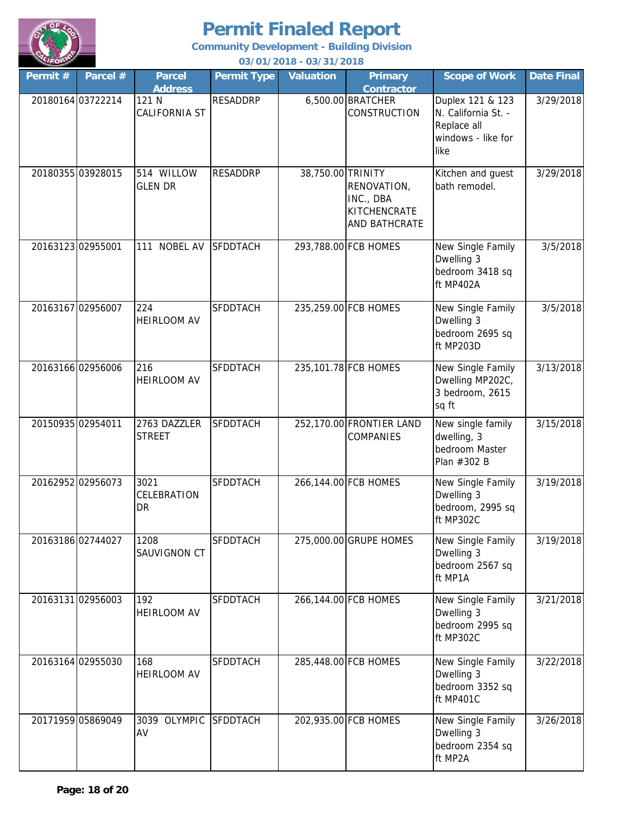

**Community Development - Building Division**

| LIFORT            |                   |                                  |                    | 03/01/2018 - 03/31/2018 |                                                           |                                                                                      |                   |
|-------------------|-------------------|----------------------------------|--------------------|-------------------------|-----------------------------------------------------------|--------------------------------------------------------------------------------------|-------------------|
| Permit #          | Parcel $#$        | <b>Parcel</b><br><b>Address</b>  | <b>Permit Type</b> | <b>Valuation</b>        | <b>Primary</b><br><b>Contractor</b>                       | <b>Scope of Work</b>                                                                 | <b>Date Final</b> |
|                   | 20180164 03722214 | 121 N<br><b>CALIFORNIA ST</b>    | <b>RESADDRP</b>    |                         | 6,500.00 BRATCHER<br><b>CONSTRUCTION</b>                  | Duplex 121 & 123<br>N. California St. -<br>Replace all<br>windows - like for<br>like | 3/29/2018         |
|                   | 20180355 03928015 | 514 WILLOW<br><b>GLEN DR</b>     | <b>RESADDRP</b>    | 38,750.00 TRINITY       | RENOVATION,<br>INC., DBA<br>KITCHENCRATE<br>AND BATHCRATE | Kitchen and guest<br>bath remodel.                                                   | 3/29/2018         |
| 20163123 02955001 |                   | <b>NOBEL AV</b><br>111           | <b>SFDDTACH</b>    |                         | 293,788.00 FCB HOMES                                      | New Single Family<br>Dwelling 3<br>bedroom 3418 sq<br>ft MP402A                      | 3/5/2018          |
| 20163167 02956007 |                   | 224<br><b>HEIRLOOM AV</b>        | <b>SFDDTACH</b>    |                         | 235,259.00 FCB HOMES                                      | New Single Family<br>Dwelling 3<br>bedroom 2695 sq<br>ft MP203D                      | 3/5/2018          |
|                   | 20163166 02956006 | 216<br><b>HEIRLOOM AV</b>        | SFDDTACH           |                         | 235,101.78 FCB HOMES                                      | New Single Family<br>Dwelling MP202C,<br>3 bedroom, 2615<br>sq ft                    | 3/13/2018         |
| 20150935 02954011 |                   | 2763 DAZZLER<br><b>STREET</b>    | SFDDTACH           |                         | 252,170.00 FRONTIER LAND<br>COMPANIES                     | New single family<br>dwelling, 3<br>bedroom Master<br>Plan #302 B                    | 3/15/2018         |
|                   | 20162952 02956073 | 3021<br>CELEBRATION<br><b>DR</b> | <b>SFDDTACH</b>    |                         | 266,144.00 FCB HOMES                                      | New Single Family<br>Dwelling 3<br>bedroom, 2995 sq<br>ft MP302C                     | 3/19/2018         |
|                   | 20163186 02744027 | 1208<br>SAUVIGNON CT             | <b>SFDDTACH</b>    |                         | 275,000.00 GRUPE HOMES                                    | New Single Family<br>Dwelling 3<br>bedroom 2567 sq<br>ft MP1A                        | 3/19/2018         |
|                   | 20163131 02956003 | 192<br>HEIRLOOM AV               | SFDDTACH           |                         | 266,144.00 FCB HOMES                                      | New Single Family<br>Dwelling 3<br>bedroom 2995 sq<br>ft MP302C                      | 3/21/2018         |
|                   | 20163164 02955030 | 168<br>HEIRLOOM AV               | SFDDTACH           |                         | 285,448.00 FCB HOMES                                      | New Single Family<br>Dwelling 3<br>bedroom 3352 sq<br>ft MP401C                      | 3/22/2018         |
|                   | 20171959 05869049 | 3039 OLYMPIC<br>AV               | <b>SFDDTACH</b>    |                         | 202,935.00 FCB HOMES                                      | New Single Family<br>Dwelling 3<br>bedroom 2354 sq<br>ft MP2A                        | 3/26/2018         |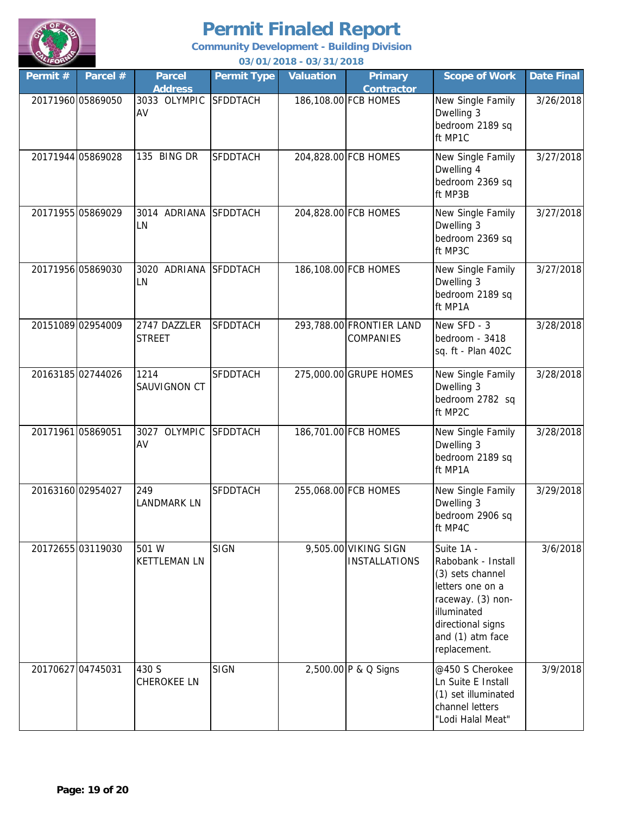

**Community Development - Building Division**

| Permit # | Parcel #          | <b>Parcel</b><br><b>Address</b> | <b>Permit Type</b> | <b>Valuation</b> | <b>Primary</b><br><b>Contractor</b>          | <b>Scope of Work</b>                                                                                                                                                  | <b>Date Final</b> |
|----------|-------------------|---------------------------------|--------------------|------------------|----------------------------------------------|-----------------------------------------------------------------------------------------------------------------------------------------------------------------------|-------------------|
|          | 20171960 05869050 | 3033 OLYMPIC<br>AV              | <b>SFDDTACH</b>    |                  | 186,108.00 FCB HOMES                         | New Single Family<br>Dwelling 3<br>bedroom 2189 sq<br>ft MP1C                                                                                                         | 3/26/2018         |
|          | 20171944 05869028 | 135 BING DR                     | <b>SFDDTACH</b>    |                  | 204,828.00 FCB HOMES                         | New Single Family<br>Dwelling 4<br>bedroom 2369 sq<br>ft MP3B                                                                                                         | 3/27/2018         |
|          | 20171955 05869029 | 3014 ADRIANA<br>LN              | <b>SFDDTACH</b>    |                  | 204,828.00 FCB HOMES                         | New Single Family<br>Dwelling 3<br>bedroom 2369 sq<br>ft MP3C                                                                                                         | 3/27/2018         |
|          | 20171956 05869030 | 3020 ADRIANA SFDDTACH<br>LN     |                    |                  | 186,108.00 FCB HOMES                         | New Single Family<br>Dwelling 3<br>bedroom 2189 sq<br>ft MP1A                                                                                                         | 3/27/2018         |
|          | 20151089 02954009 | 2747 DAZZLER<br><b>STREET</b>   | <b>SFDDTACH</b>    |                  | 293,788.00 FRONTIER LAND<br><b>COMPANIES</b> | New SFD - 3<br>bedroom - 3418<br>sq. ft - Plan 402C                                                                                                                   | 3/28/2018         |
|          | 20163185 02744026 | 1214<br>SAUVIGNON CT            | <b>SFDDTACH</b>    |                  | 275,000.00 GRUPE HOMES                       | New Single Family<br>Dwelling 3<br>bedroom 2782 sq<br>ft MP2C                                                                                                         | 3/28/2018         |
|          | 20171961 05869051 | 3027 OLYMPIC<br>AV              | <b>SFDDTACH</b>    |                  | 186,701.00 FCB HOMES                         | New Single Family<br>Dwelling 3<br>bedroom 2189 sq<br>ft MP1A                                                                                                         | 3/28/2018         |
|          | 20163160 02954027 | 249<br><b>LANDMARK LN</b>       | <b>SFDDTACH</b>    |                  | 255,068.00 FCB HOMES                         | New Single Family<br>Dwelling 3<br>bedroom 2906 sq<br>ft MP4C                                                                                                         | 3/29/2018         |
|          | 20172655 03119030 | 501 W<br><b>KETTLEMAN LN</b>    | <b>SIGN</b>        |                  | 9,505.00 VIKING SIGN<br><b>INSTALLATIONS</b> | Suite 1A -<br>Rabobank - Install<br>(3) sets channel<br>letters one on a<br>raceway. (3) non-<br>illuminated<br>directional signs<br>and (1) atm face<br>replacement. | 3/6/2018          |
|          | 20170627 04745031 | 430 S<br><b>CHEROKEE LN</b>     | <b>SIGN</b>        |                  | 2,500.00 P & Q Signs                         | @450 S Cherokee<br>Ln Suite E Install<br>(1) set illuminated<br>channel letters<br>"Lodi Halal Meat"                                                                  | 3/9/2018          |